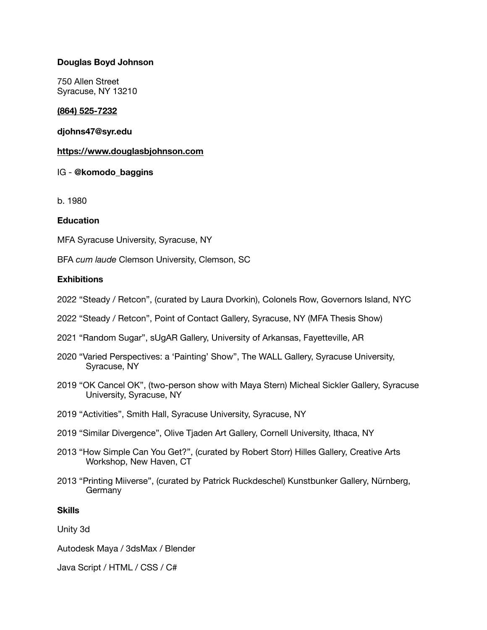## **Douglas Boyd Johnson**

750 Allen Street Syracuse, NY 13210

## **[\(864\) 525-7232](tel:(864)%20525-7232)**

## **[djohns47@syr.edu](mailto:djohns47@syr.edu)**

#### **<https://www.douglasbjohnson.com>**

## IG - **@komodo\_baggins**

b. 1980

## **Education**

MFA Syracuse University, Syracuse, NY

BFA *cum laude* Clemson University, Clemson, SC

## **Exhibitions**

- 2022 "Steady / Retcon", (curated by Laura Dvorkin), Colonels Row, Governors Island, NYC
- 2022 "Steady / Retcon", Point of Contact Gallery, Syracuse, NY (MFA Thesis Show)
- 2021 "Random Sugar", sUgAR Gallery, University of Arkansas, Fayetteville, AR
- 2020 "Varied Perspectives: a 'Painting' Show", The WALL Gallery, Syracuse University, Syracuse, NY
- 2019 "OK Cancel OK", (two-person show with Maya Stern) Micheal Sickler Gallery, Syracuse University, Syracuse, NY
- 2019 "Activities", Smith Hall, Syracuse University, Syracuse, NY
- 2019 "Similar Divergence", Olive Tjaden Art Gallery, Cornell University, Ithaca, NY
- 2013 "How Simple Can You Get?", (curated by Robert Storr) Hilles Gallery, Creative Arts Workshop, New Haven, CT
- 2013 "Printing Miiverse", (curated by Patrick Ruckdeschel) Kunstbunker Gallery, Nürnberg, **Germany**

#### **Skills**

Unity 3d

Autodesk Maya / 3dsMax / Blender

Java Script / HTML / CSS / C#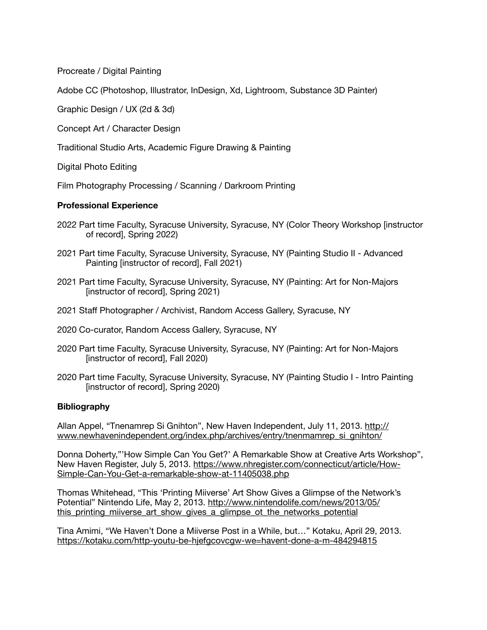Procreate / Digital Painting

Adobe CC (Photoshop, Illustrator, InDesign, Xd, Lightroom, Substance 3D Painter)

Graphic Design / UX (2d & 3d)

Concept Art / Character Design

Traditional Studio Arts, Academic Figure Drawing & Painting

Digital Photo Editing

Film Photography Processing / Scanning / Darkroom Printing

## **Professional Experience**

- 2022 Part time Faculty, Syracuse University, Syracuse, NY (Color Theory Workshop [instructor of record], Spring 2022)
- 2021 Part time Faculty, Syracuse University, Syracuse, NY (Painting Studio II Advanced Painting [instructor of record], Fall 2021)
- 2021 Part time Faculty, Syracuse University, Syracuse, NY (Painting: Art for Non-Majors [instructor of record], Spring 2021)
- 2021 Staff Photographer / Archivist, Random Access Gallery, Syracuse, NY
- 2020 Co-curator, Random Access Gallery, Syracuse, NY
- 2020 Part time Faculty, Syracuse University, Syracuse, NY (Painting: Art for Non-Majors [instructor of record], Fall 2020)
- 2020 Part time Faculty, Syracuse University, Syracuse, NY (Painting Studio I Intro Painting [instructor of record], Spring 2020)

#### **Bibliography**

Allan Appel, "Tnenamrep Si Gnihton", New Haven Independent, July 11, 2013. [http://](http://www.newhavenindependent.org/index.php/archives/entry/tnenmamrep_si_gnihton/) [www.newhavenindependent.org/index.php/archives/entry/tnenmamrep\\_si\\_gnihton/](http://www.newhavenindependent.org/index.php/archives/entry/tnenmamrep_si_gnihton/)

Donna Doherty,"'How Simple Can You Get?' A Remarkable Show at Creative Arts Workshop", New Haven Register, July 5, 2013. [https://www.nhregister.com/connecticut/article/How-](https://www.nhregister.com/connecticut/article/How-Simple-Can-You-Get-a-remarkable-show-at-11405038.php)[Simple-Can-You-Get-a-remarkable-show-at-11405038.php](https://www.nhregister.com/connecticut/article/How-Simple-Can-You-Get-a-remarkable-show-at-11405038.php)

Thomas Whitehead, "This 'Printing Miiverse' Art Show Gives a Glimpse of the Network's Potential" Nintendo Life, May 2, 2013. [http://www.nintendolife.com/news/2013/05/](http://www.nintendolife.com/news/2013/05/this_printing_miiverse_art_show_gives_a_glimpse_ot_the_networks_potential) [this\\_printing\\_miiverse\\_art\\_show\\_gives\\_a\\_glimpse\\_ot\\_the\\_networks\\_potential](http://www.nintendolife.com/news/2013/05/this_printing_miiverse_art_show_gives_a_glimpse_ot_the_networks_potential)

Tina Amimi, "We Haven't Done a Miiverse Post in a While, but…" Kotaku, April 29, 2013. <https://kotaku.com/http-youtu-be-hjefgcovcgw-we=havent-done-a-m-484294815>